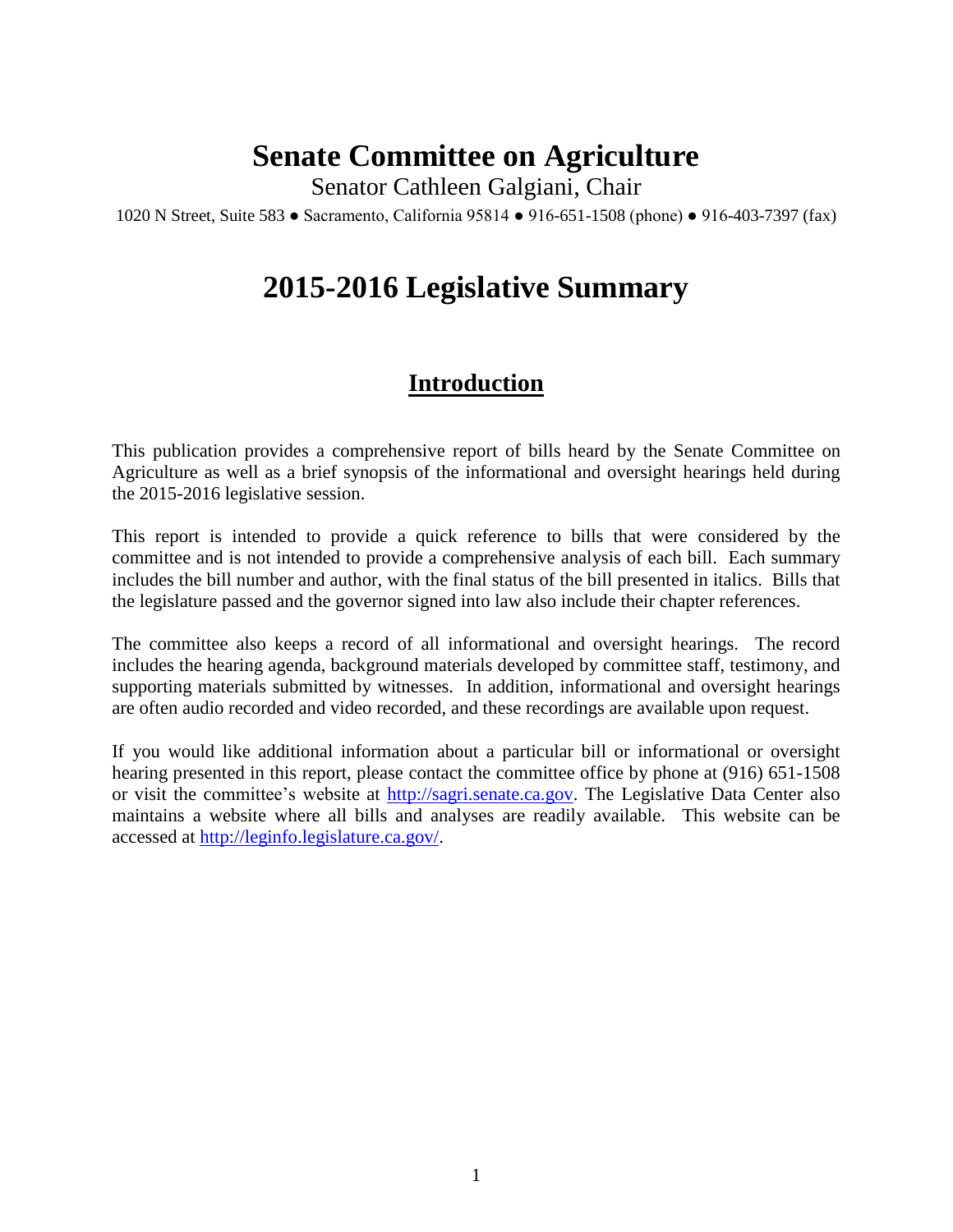# **Senate Committee on Agriculture**

Senator Cathleen Galgiani, Chair

1020 N Street, Suite 583 ● Sacramento, California 95814 ● 916-651-1508 (phone) ● 916-403-7397 (fax)

# **2015-2016 Legislative Summary**

# **Introduction**

This publication provides a comprehensive report of bills heard by the Senate Committee on Agriculture as well as a brief synopsis of the informational and oversight hearings held during the 2015-2016 legislative session.

This report is intended to provide a quick reference to bills that were considered by the committee and is not intended to provide a comprehensive analysis of each bill. Each summary includes the bill number and author, with the final status of the bill presented in italics. Bills that the legislature passed and the governor signed into law also include their chapter references.

The committee also keeps a record of all informational and oversight hearings. The record includes the hearing agenda, background materials developed by committee staff, testimony, and supporting materials submitted by witnesses. In addition, informational and oversight hearings are often audio recorded and video recorded, and these recordings are available upon request.

If you would like additional information about a particular bill or informational or oversight hearing presented in this report, please contact the committee office by phone at (916) 651-1508 or visit the committee's website at [http://sagri.senate.ca.gov.](http://sagri.senate.ca.gov/) The Legislative Data Center also maintains a website where all bills and analyses are readily available. This website can be accessed at [http://leginfo.legislature.ca.gov/.](http://leginfo.legislature.ca.gov/)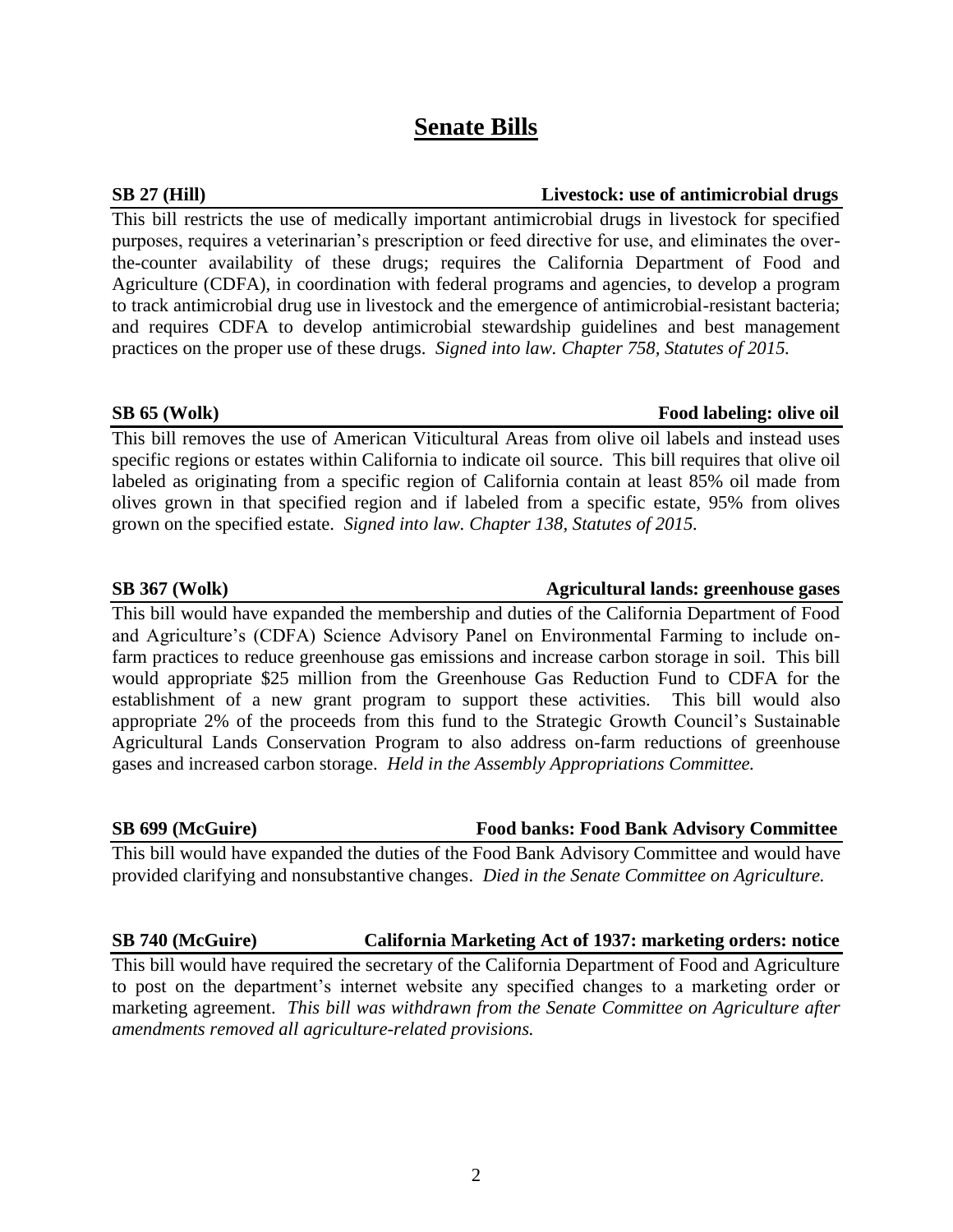# **Senate Bills**

# **SB 27 (Hill) Livestock: use of antimicrobial drugs**

This bill restricts the use of medically important antimicrobial drugs in livestock for specified purposes, requires a veterinarian's prescription or feed directive for use, and eliminates the overthe-counter availability of these drugs; requires the California Department of Food and Agriculture (CDFA), in coordination with federal programs and agencies, to develop a program to track antimicrobial drug use in livestock and the emergence of antimicrobial-resistant bacteria; and requires CDFA to develop antimicrobial stewardship guidelines and best management practices on the proper use of these drugs. *Signed into law. Chapter 758, Statutes of 2015.*

### **SB 65 (Wolk) Food labeling: olive oil**

This bill removes the use of American Viticultural Areas from olive oil labels and instead uses specific regions or estates within California to indicate oil source. This bill requires that olive oil labeled as originating from a specific region of California contain at least 85% oil made from olives grown in that specified region and if labeled from a specific estate, 95% from olives grown on the specified estate. *Signed into law. Chapter 138, Statutes of 2015.*

This bill would have expanded the membership and duties of the California Department of Food and Agriculture's (CDFA) Science Advisory Panel on Environmental Farming to include onfarm practices to reduce greenhouse gas emissions and increase carbon storage in soil. This bill would appropriate \$25 million from the Greenhouse Gas Reduction Fund to CDFA for the establishment of a new grant program to support these activities. This bill would also appropriate 2% of the proceeds from this fund to the Strategic Growth Council's Sustainable Agricultural Lands Conservation Program to also address on-farm reductions of greenhouse gases and increased carbon storage. *Held in the Assembly Appropriations Committee.*

# **SB 699 (McGuire) Food banks: Food Bank Advisory Committee**

This bill would have expanded the duties of the Food Bank Advisory Committee and would have provided clarifying and nonsubstantive changes. *Died in the Senate Committee on Agriculture.*

# **SB 740 (McGuire) California Marketing Act of 1937: marketing orders: notice**

This bill would have required the secretary of the California Department of Food and Agriculture to post on the department's internet website any specified changes to a marketing order or marketing agreement. *This bill was withdrawn from the Senate Committee on Agriculture after amendments removed all agriculture-related provisions.* 

**SB 367 (Wolk) Agricultural lands: greenhouse gases**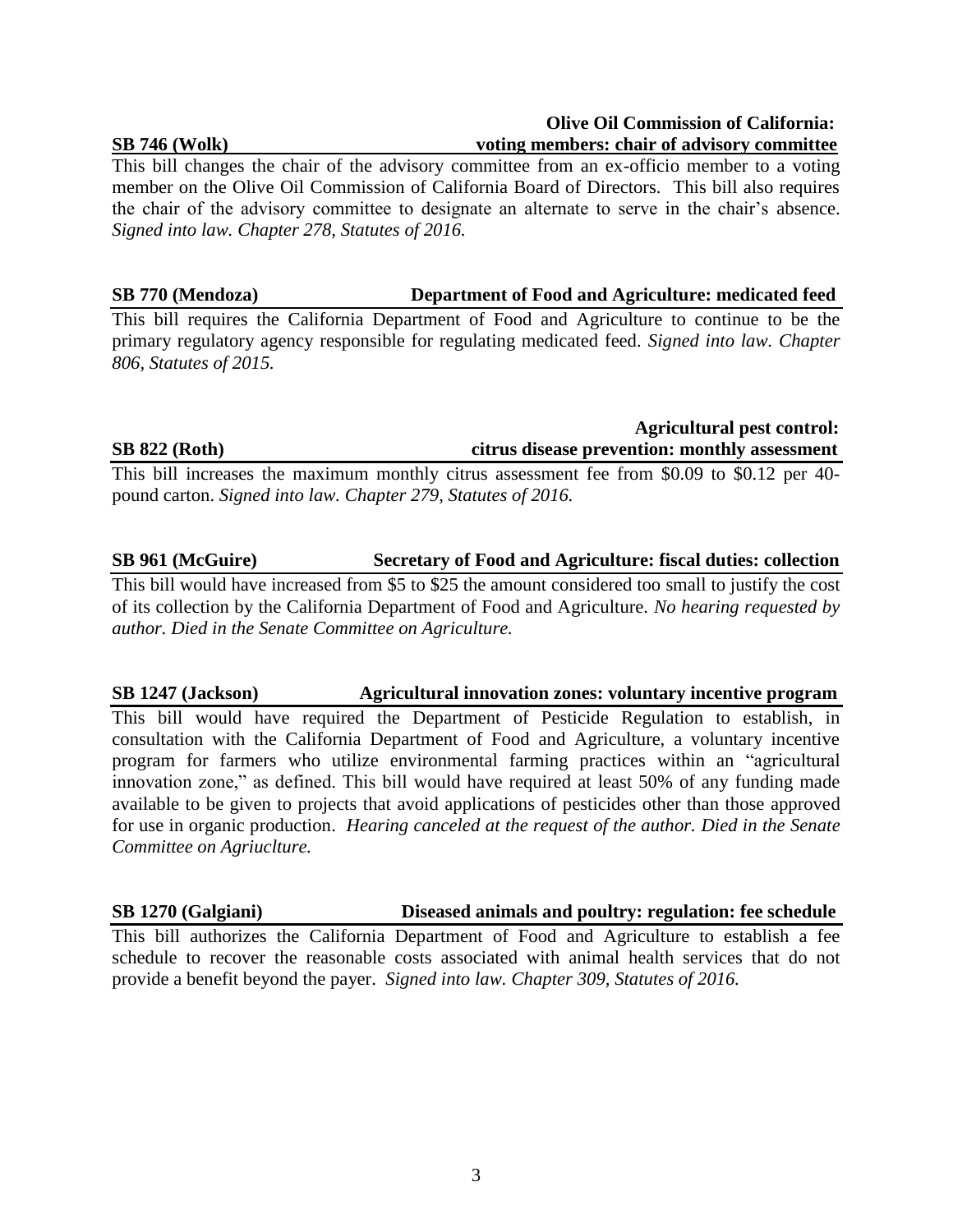### **SB 746 (Wolk) voting members: chair of advisory committee**

This bill changes the chair of the advisory committee from an ex-officio member to a voting member on the Olive Oil Commission of California Board of Directors. This bill also requires the chair of the advisory committee to designate an alternate to serve in the chair's absence. *Signed into law. Chapter 278, Statutes of 2016.*

**SB 770 (Mendoza) Department of Food and Agriculture: medicated feed**

This bill requires the California Department of Food and Agriculture to continue to be the primary regulatory agency responsible for regulating medicated feed. *Signed into law. Chapter 806, Statutes of 2015.*

# **Agricultural pest control: SB 822 (Roth) citrus disease prevention: monthly assessment**

 **Olive Oil Commission of California:**

This bill increases the maximum monthly citrus assessment fee from \$0.09 to \$0.12 per 40 pound carton. *Signed into law. Chapter 279, Statutes of 2016.*

# **SB 961 (McGuire) Secretary of Food and Agriculture: fiscal duties: collection**

This bill would have increased from \$5 to \$25 the amount considered too small to justify the cost of its collection by the California Department of Food and Agriculture. *No hearing requested by author. Died in the Senate Committee on Agriculture.*

**SB 1247 (Jackson) Agricultural innovation zones: voluntary incentive program**

This bill would have required the Department of Pesticide Regulation to establish, in consultation with the California Department of Food and Agriculture, a voluntary incentive program for farmers who utilize environmental farming practices within an "agricultural innovation zone," as defined. This bill would have required at least 50% of any funding made available to be given to projects that avoid applications of pesticides other than those approved for use in organic production. *Hearing canceled at the request of the author. Died in the Senate Committee on Agriuclture.*

**SB 1270 (Galgiani) Diseased animals and poultry: regulation: fee schedule**

This bill authorizes the California Department of Food and Agriculture to establish a fee schedule to recover the reasonable costs associated with animal health services that do not provide a benefit beyond the payer. *Signed into law. Chapter 309, Statutes of 2016.*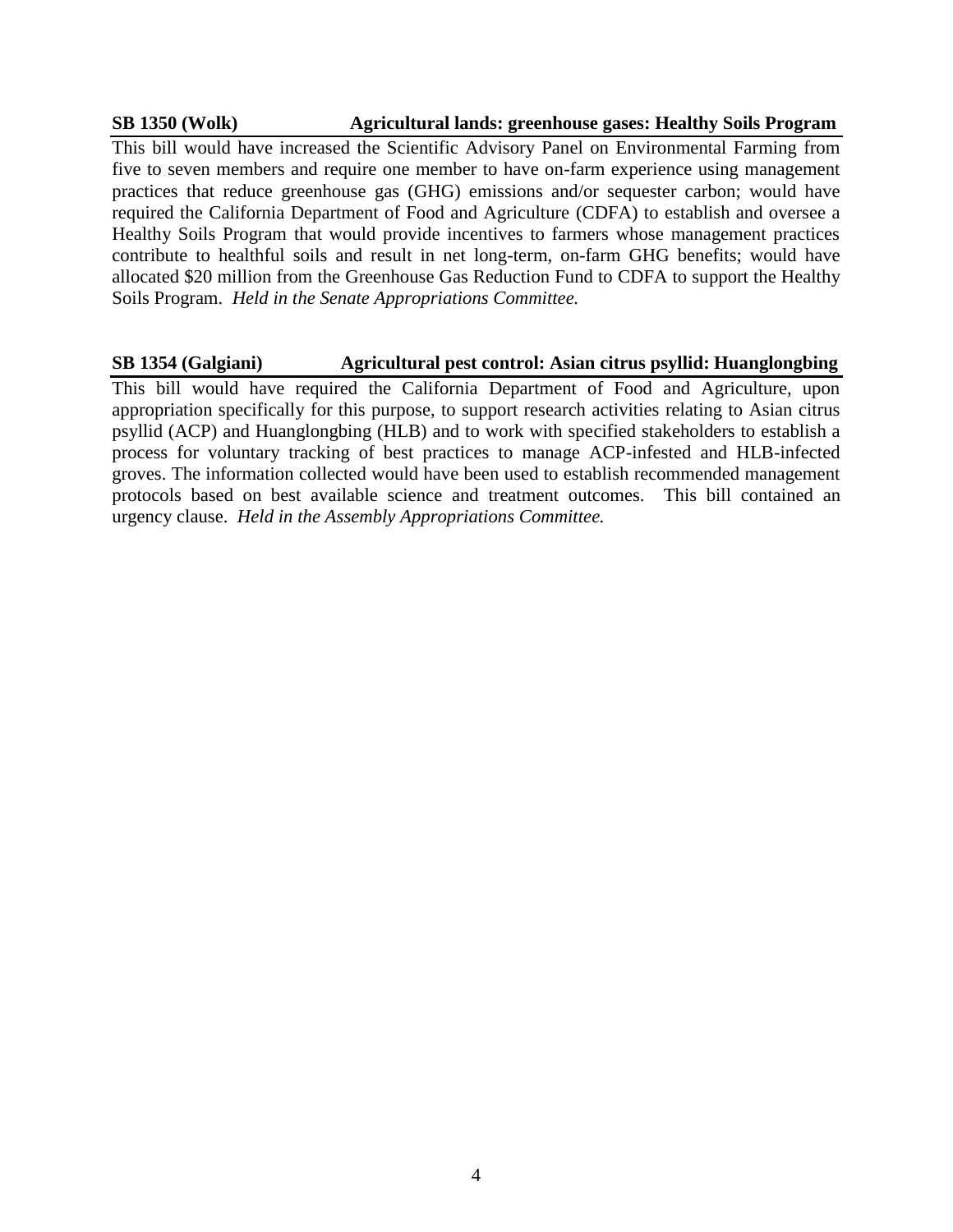### **SB 1350 (Wolk) Agricultural lands: greenhouse gases: Healthy Soils Program**

This bill would have increased the Scientific Advisory Panel on Environmental Farming from five to seven members and require one member to have on-farm experience using management practices that reduce greenhouse gas (GHG) emissions and/or sequester carbon; would have required the California Department of Food and Agriculture (CDFA) to establish and oversee a Healthy Soils Program that would provide incentives to farmers whose management practices contribute to healthful soils and result in net long-term, on-farm GHG benefits; would have allocated \$20 million from the Greenhouse Gas Reduction Fund to CDFA to support the Healthy Soils Program. *Held in the Senate Appropriations Committee.*

# **SB 1354 (Galgiani) Agricultural pest control: Asian citrus psyllid: Huanglongbing**

This bill would have required the California Department of Food and Agriculture, upon appropriation specifically for this purpose, to support research activities relating to Asian citrus psyllid (ACP) and Huanglongbing (HLB) and to work with specified stakeholders to establish a process for voluntary tracking of best practices to manage ACP-infested and HLB-infected groves. The information collected would have been used to establish recommended management protocols based on best available science and treatment outcomes. This bill contained an urgency clause. *Held in the Assembly Appropriations Committee.*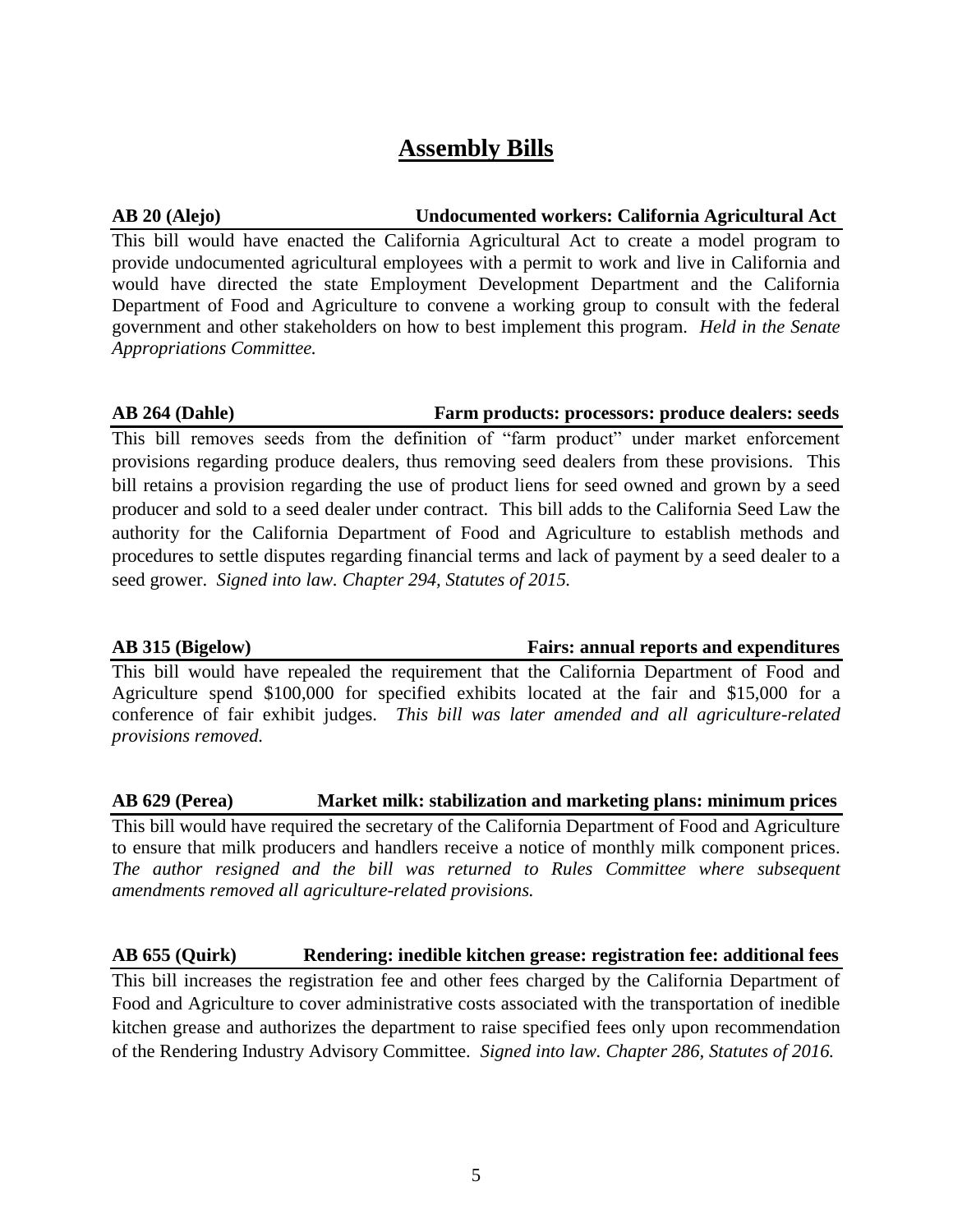# **Assembly Bills**

# **AB 20 (Alejo) Undocumented workers: California Agricultural Act**

This bill would have enacted the California Agricultural Act to create a model program to provide undocumented agricultural employees with a permit to work and live in California and would have directed the state Employment Development Department and the California Department of Food and Agriculture to convene a working group to consult with the federal government and other stakeholders on how to best implement this program. *Held in the Senate Appropriations Committee.*

# **AB 264 (Dahle) Farm products: processors: produce dealers: seeds**

This bill removes seeds from the definition of "farm product" under market enforcement provisions regarding produce dealers, thus removing seed dealers from these provisions. This bill retains a provision regarding the use of product liens for seed owned and grown by a seed producer and sold to a seed dealer under contract. This bill adds to the California Seed Law the authority for the California Department of Food and Agriculture to establish methods and procedures to settle disputes regarding financial terms and lack of payment by a seed dealer to a seed grower. *Signed into law. Chapter 294, Statutes of 2015.* 

# **AB 315 (Bigelow) Fairs: annual reports and expenditures**

This bill would have repealed the requirement that the California Department of Food and Agriculture spend \$100,000 for specified exhibits located at the fair and \$15,000 for a conference of fair exhibit judges. *This bill was later amended and all agriculture-related provisions removed.*

# **AB 629 (Perea) Market milk: stabilization and marketing plans: minimum prices**

This bill would have required the secretary of the California Department of Food and Agriculture to ensure that milk producers and handlers receive a notice of monthly milk component prices. *The author resigned and the bill was returned to Rules Committee where subsequent amendments removed all agriculture-related provisions.* 

# **AB 655 (Quirk) Rendering: inedible kitchen grease: registration fee: additional fees**

This bill increases the registration fee and other fees charged by the California Department of Food and Agriculture to cover administrative costs associated with the transportation of inedible kitchen grease and authorizes the department to raise specified fees only upon recommendation of the Rendering Industry Advisory Committee. *Signed into law. Chapter 286, Statutes of 2016.*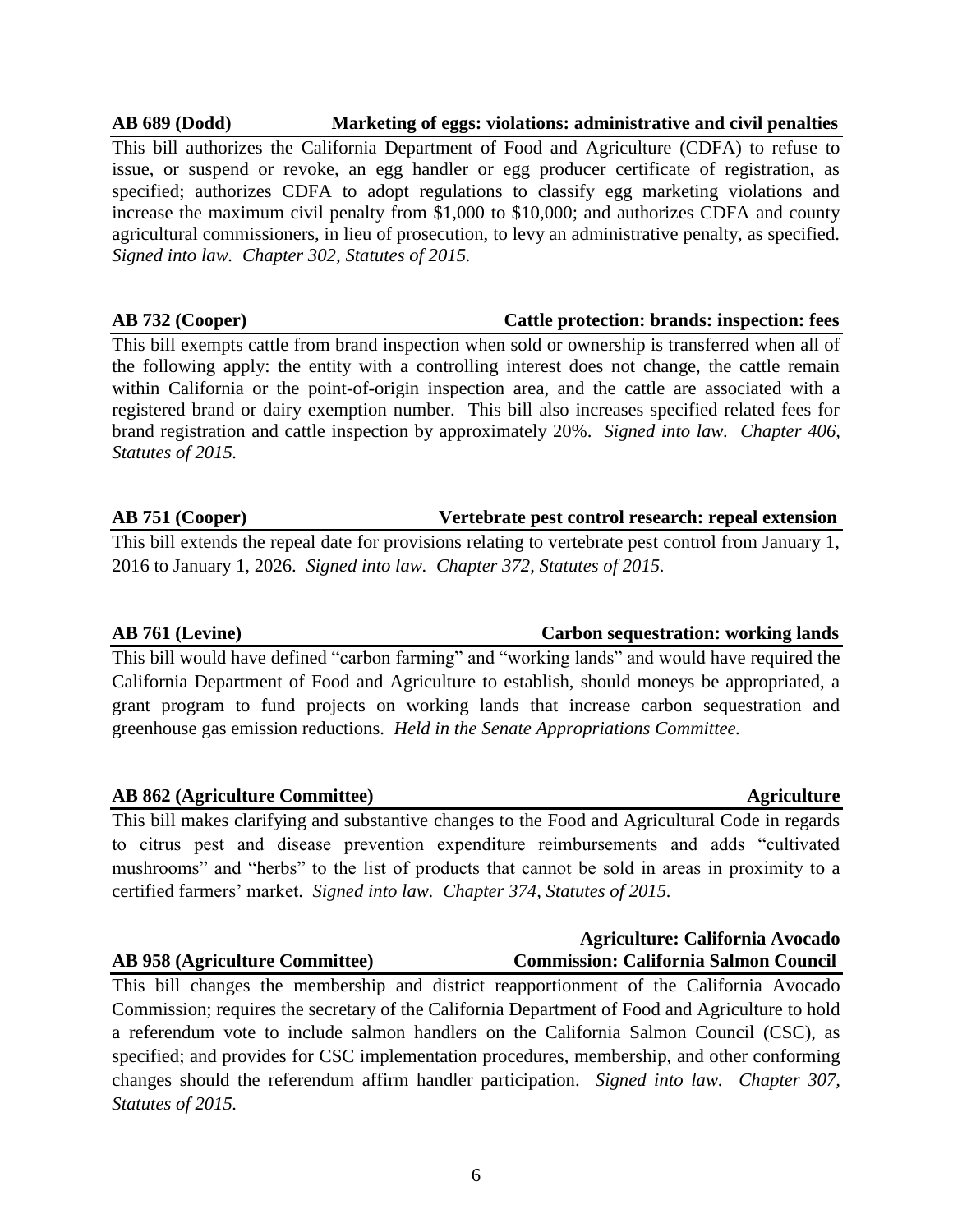# **AB 689 (Dodd) Marketing of eggs: violations: administrative and civil penalties**

This bill authorizes the California Department of Food and Agriculture (CDFA) to refuse to issue, or suspend or revoke, an egg handler or egg producer certificate of registration, as specified; authorizes CDFA to adopt regulations to classify egg marketing violations and increase the maximum civil penalty from \$1,000 to \$10,000; and authorizes CDFA and county agricultural commissioners, in lieu of prosecution, to levy an administrative penalty, as specified. *Signed into law. Chapter 302, Statutes of 2015.*

This bill exempts cattle from brand inspection when sold or ownership is transferred when all of the following apply: the entity with a controlling interest does not change, the cattle remain within California or the point-of-origin inspection area, and the cattle are associated with a registered brand or dairy exemption number. This bill also increases specified related fees for brand registration and cattle inspection by approximately 20%. *Signed into law. Chapter 406, Statutes of 2015.* 

# **AB 751 (Cooper) Vertebrate pest control research: repeal extension**

This bill extends the repeal date for provisions relating to vertebrate pest control from January 1, 2016 to January 1, 2026. *Signed into law. Chapter 372, Statutes of 2015.* 

# **AB 761 (Levine) Carbon sequestration: working lands**

This bill would have defined "carbon farming" and "working lands" and would have required the California Department of Food and Agriculture to establish, should moneys be appropriated, a grant program to fund projects on working lands that increase carbon sequestration and greenhouse gas emission reductions. *Held in the Senate Appropriations Committee.*

# **AB 862** (Agriculture Committee) Agriculture

This bill makes clarifying and substantive changes to the Food and Agricultural Code in regards to citrus pest and disease prevention expenditure reimbursements and adds "cultivated mushrooms" and "herbs" to the list of products that cannot be sold in areas in proximity to a certified farmers' market. *Signed into law. Chapter 374, Statutes of 2015.*

This bill changes the membership and district reapportionment of the California Avocado Commission; requires the secretary of the California Department of Food and Agriculture to hold a referendum vote to include salmon handlers on the California Salmon Council (CSC), as specified; and provides for CSC implementation procedures, membership, and other conforming changes should the referendum affirm handler participation. *Signed into law. Chapter 307, Statutes of 2015.*

# **Agriculture: California Avocado AB 958 (Agriculture Committee) Commission: California Salmon Council**

# **AB 732 (Cooper) Cattle protection: brands: inspection: fees**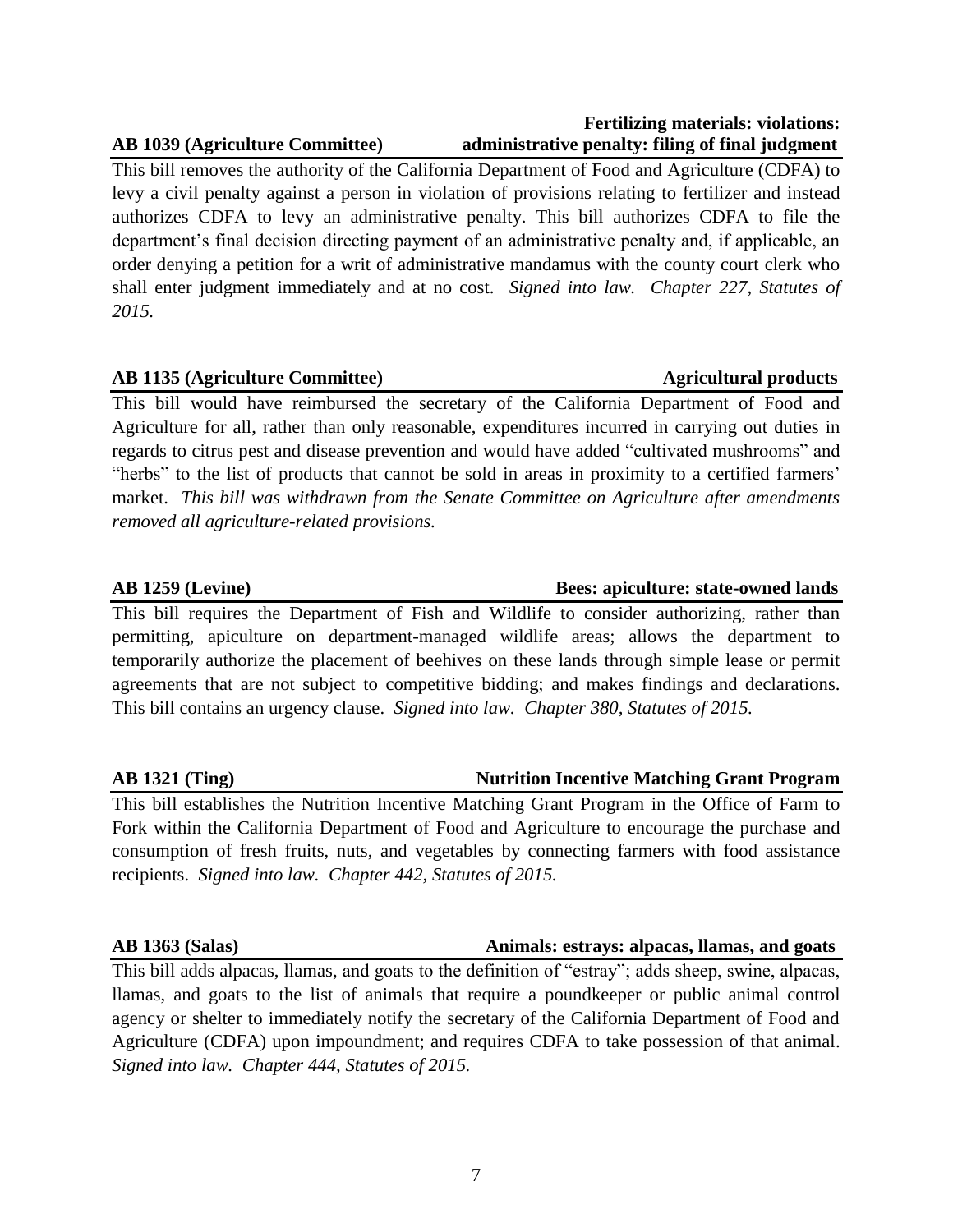# **AB 1039 (Agriculture Committee) administrative penalty: filing of final judgment**

This bill removes the authority of the California Department of Food and Agriculture (CDFA) to levy a civil penalty against a person in violation of provisions relating to fertilizer and instead authorizes CDFA to levy an administrative penalty. This bill authorizes CDFA to file the department's final decision directing payment of an administrative penalty and, if applicable, an order denying a petition for a writ of administrative mandamus with the county court clerk who shall enter judgment immediately and at no cost. *Signed into law. Chapter 227, Statutes of 2015.*

# AB 1135 (Agriculture Committee) **Agricultural products** Agricultural products

This bill would have reimbursed the secretary of the California Department of Food and Agriculture for all, rather than only reasonable, expenditures incurred in carrying out duties in regards to citrus pest and disease prevention and would have added "cultivated mushrooms" and "herbs" to the list of products that cannot be sold in areas in proximity to a certified farmers' market. *This bill was withdrawn from the Senate Committee on Agriculture after amendments removed all agriculture-related provisions.*

This bill requires the Department of Fish and Wildlife to consider authorizing, rather than permitting, apiculture on department-managed wildlife areas; allows the department to temporarily authorize the placement of beehives on these lands through simple lease or permit agreements that are not subject to competitive bidding; and makes findings and declarations. This bill contains an urgency clause. *Signed into law. Chapter 380, Statutes of 2015.*

# **AB 1321 (Ting) Nutrition Incentive Matching Grant Program**

This bill establishes the Nutrition Incentive Matching Grant Program in the Office of Farm to Fork within the California Department of Food and Agriculture to encourage the purchase and consumption of fresh fruits, nuts, and vegetables by connecting farmers with food assistance recipients. *Signed into law. Chapter 442, Statutes of 2015.*

# **AB 1363 (Salas) Animals: estrays: alpacas, llamas, and goats**

This bill adds alpacas, llamas, and goats to the definition of "estray"; adds sheep, swine, alpacas, llamas, and goats to the list of animals that require a poundkeeper or public animal control agency or shelter to immediately notify the secretary of the California Department of Food and Agriculture (CDFA) upon impoundment; and requires CDFA to take possession of that animal. *Signed into law. Chapter 444, Statutes of 2015.*

# **AB 1259 (Levine) Bees: apiculture: state-owned lands**

 **Fertilizing materials: violations:**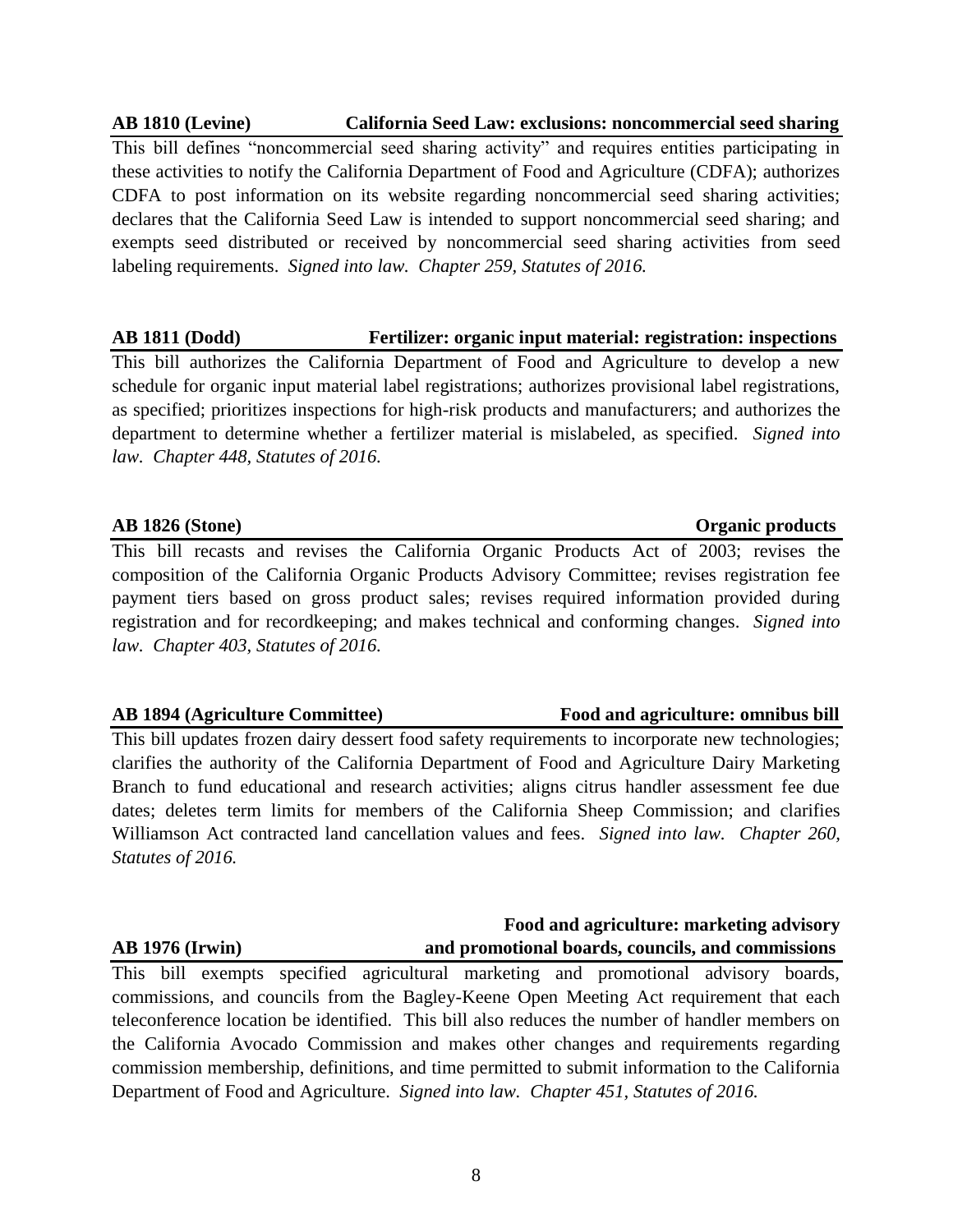# **AB 1810 (Levine) California Seed Law: exclusions: noncommercial seed sharing**

This bill defines "noncommercial seed sharing activity" and requires entities participating in these activities to notify the California Department of Food and Agriculture (CDFA); authorizes CDFA to post information on its website regarding noncommercial seed sharing activities; declares that the California Seed Law is intended to support noncommercial seed sharing; and exempts seed distributed or received by noncommercial seed sharing activities from seed labeling requirements. *Signed into law. Chapter 259, Statutes of 2016.*

# **AB 1811 (Dodd) Fertilizer: organic input material: registration: inspections**

This bill authorizes the California Department of Food and Agriculture to develop a new schedule for organic input material label registrations; authorizes provisional label registrations, as specified; prioritizes inspections for high-risk products and manufacturers; and authorizes the department to determine whether a fertilizer material is mislabeled, as specified. *Signed into law. Chapter 448, Statutes of 2016.*

This bill recasts and revises the California Organic Products Act of 2003; revises the composition of the California Organic Products Advisory Committee; revises registration fee payment tiers based on gross product sales; revises required information provided during registration and for recordkeeping; and makes technical and conforming changes. *Signed into law. Chapter 403, Statutes of 2016.*

# **AB 1894 (Agriculture Committee) Food and agriculture: omnibus bill**

This bill updates frozen dairy dessert food safety requirements to incorporate new technologies; clarifies the authority of the California Department of Food and Agriculture Dairy Marketing Branch to fund educational and research activities; aligns citrus handler assessment fee due dates; deletes term limits for members of the California Sheep Commission; and clarifies Williamson Act contracted land cancellation values and fees. *Signed into law. Chapter 260, Statutes of 2016.*

# **AB 1976 (Irwin) and promotional boards, councils, and commissions**

This bill exempts specified agricultural marketing and promotional advisory boards, commissions, and councils from the Bagley-Keene Open Meeting Act requirement that each teleconference location be identified. This bill also reduces the number of handler members on the California Avocado Commission and makes other changes and requirements regarding commission membership, definitions, and time permitted to submit information to the California Department of Food and Agriculture. *Signed into law. Chapter 451, Statutes of 2016.*

# **AB 1826 (Stone) Organic products**

**Food and agriculture: marketing advisory**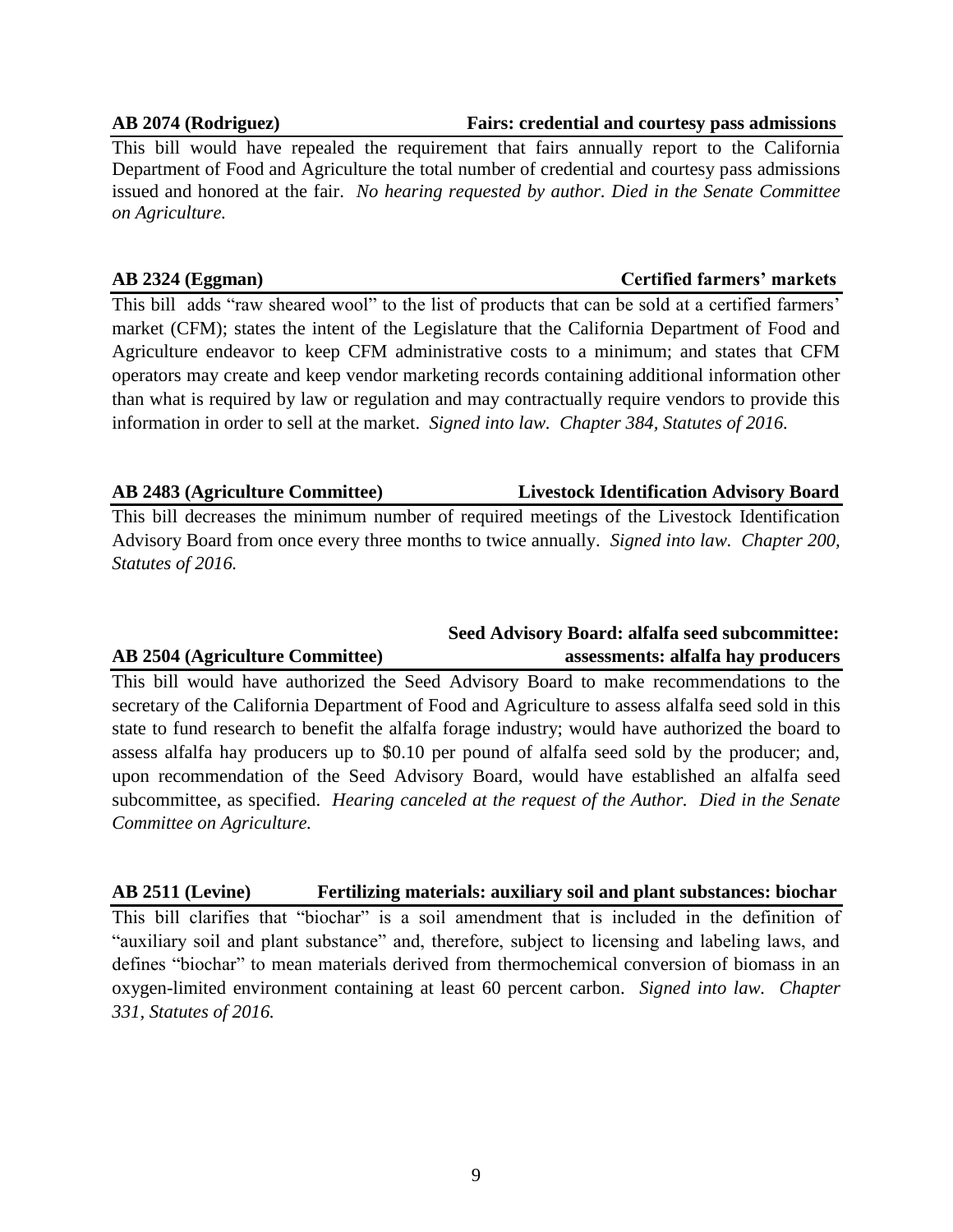## **AB 2074 (Rodriguez) Fairs: credential and courtesy pass admissions**

This bill would have repealed the requirement that fairs annually report to the California Department of Food and Agriculture the total number of credential and courtesy pass admissions issued and honored at the fair. *No hearing requested by author. Died in the Senate Committee on Agriculture.*

### **AB 2324 (Eggman) Certified farmers' markets**

This bill adds "raw sheared wool" to the list of products that can be sold at a certified farmers' market (CFM); states the intent of the Legislature that the California Department of Food and Agriculture endeavor to keep CFM administrative costs to a minimum; and states that CFM operators may create and keep vendor marketing records containing additional information other than what is required by law or regulation and may contractually require vendors to provide this information in order to sell at the market. *Signed into law. Chapter 384, Statutes of 2016.*

This bill decreases the minimum number of required meetings of the Livestock Identification Advisory Board from once every three months to twice annually. *Signed into law. Chapter 200, Statutes of 2016.*

This bill would have authorized the Seed Advisory Board to make recommendations to the secretary of the California Department of Food and Agriculture to assess alfalfa seed sold in this state to fund research to benefit the alfalfa forage industry; would have authorized the board to assess alfalfa hay producers up to \$0.10 per pound of alfalfa seed sold by the producer; and, upon recommendation of the Seed Advisory Board, would have established an alfalfa seed subcommittee, as specified. *Hearing canceled at the request of the Author. Died in the Senate Committee on Agriculture.*

# **AB 2511 (Levine) Fertilizing materials: auxiliary soil and plant substances: biochar**

This bill clarifies that "biochar" is a soil amendment that is included in the definition of "auxiliary soil and plant substance" and, therefore, subject to licensing and labeling laws, and defines "biochar" to mean materials derived from thermochemical conversion of biomass in an oxygen-limited environment containing at least 60 percent carbon. *Signed into law. Chapter 331, Statutes of 2016.*

# **AB 2483 (Agriculture Committee) Livestock Identification Advisory Board**

# **Seed Advisory Board: alfalfa seed subcommittee: AB 2504 (Agriculture Committee) assessments: alfalfa hay producers**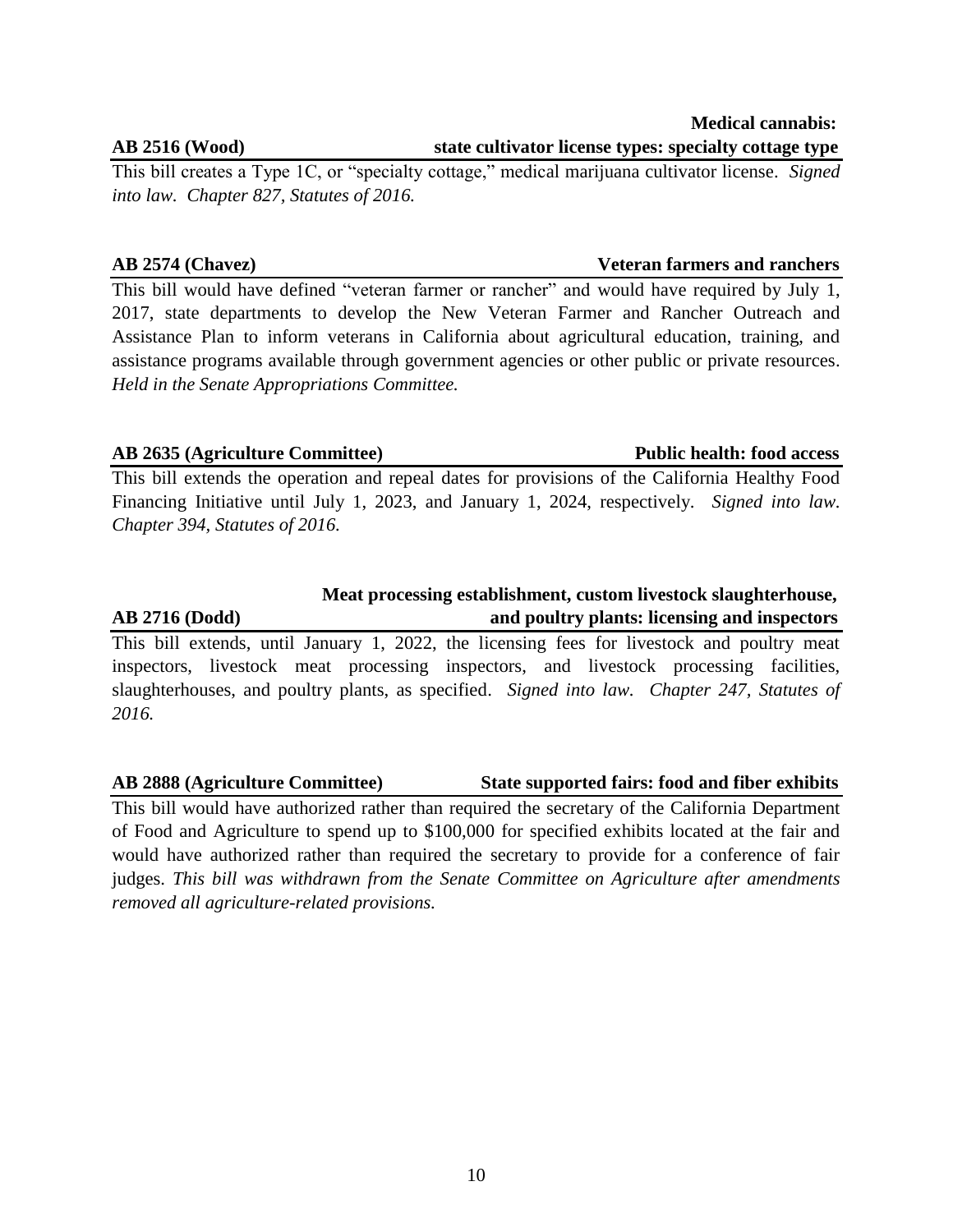This bill creates a Type 1C, or "specialty cottage," medical marijuana cultivator license. *Signed into law. Chapter 827, Statutes of 2016.*

This bill would have defined "veteran farmer or rancher" and would have required by July 1, 2017, state departments to develop the New Veteran Farmer and Rancher Outreach and Assistance Plan to inform veterans in California about agricultural education, training, and assistance programs available through government agencies or other public or private resources. *Held in the Senate Appropriations Committee.*

# **AB 2635 (Agriculture Committee) Public health: food access**

This bill extends the operation and repeal dates for provisions of the California Healthy Food Financing Initiative until July 1, 2023, and January 1, 2024, respectively. *Signed into law. Chapter 394, Statutes of 2016.*

# **AB 2716 (Dodd) and poultry plants: licensing and inspectors**

This bill extends, until January 1, 2022, the licensing fees for livestock and poultry meat inspectors, livestock meat processing inspectors, and livestock processing facilities, slaughterhouses, and poultry plants, as specified. *Signed into law. Chapter 247, Statutes of 2016.*

# **AB 2888 (Agriculture Committee) State supported fairs: food and fiber exhibits**

This bill would have authorized rather than required the secretary of the California Department of Food and Agriculture to spend up to \$100,000 for specified exhibits located at the fair and would have authorized rather than required the secretary to provide for a conference of fair judges. *This bill was withdrawn from the Senate Committee on Agriculture after amendments removed all agriculture-related provisions.*

### **Medical cannabis: AB 2516 (Wood) state cultivator license types: specialty cottage type**

# **AB 2574 (Chavez) Veteran farmers and ranchers**

 **Meat processing establishment, custom livestock slaughterhouse,**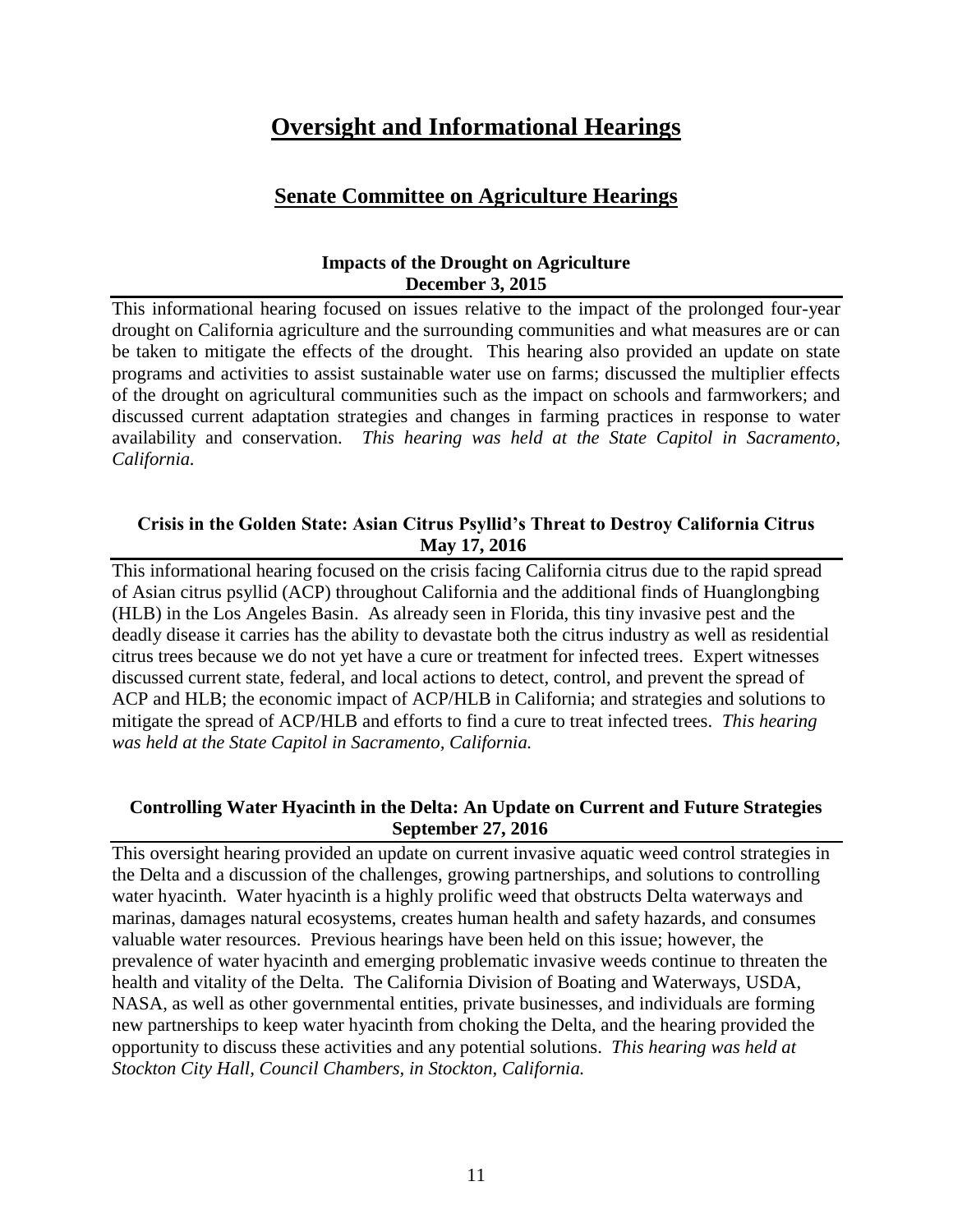# **Oversight and Informational Hearings**

# **Senate Committee on Agriculture Hearings**

# **Impacts of the Drought on Agriculture December 3, 2015**

This informational hearing focused on issues relative to the impact of the prolonged four-year drought on California agriculture and the surrounding communities and what measures are or can be taken to mitigate the effects of the drought. This hearing also provided an update on state programs and activities to assist sustainable water use on farms; discussed the multiplier effects of the drought on agricultural communities such as the impact on schools and farmworkers; and discussed current adaptation strategies and changes in farming practices in response to water availability and conservation. *This hearing was held at the State Capitol in Sacramento, California.*

# **Crisis in the Golden State: Asian Citrus Psyllid's Threat to Destroy California Citrus May 17, 2016**

This informational hearing focused on the crisis facing California citrus due to the rapid spread of Asian citrus psyllid (ACP) throughout California and the additional finds of Huanglongbing (HLB) in the Los Angeles Basin. As already seen in Florida, this tiny invasive pest and the deadly disease it carries has the ability to devastate both the citrus industry as well as residential citrus trees because we do not yet have a cure or treatment for infected trees. Expert witnesses discussed current state, federal, and local actions to detect, control, and prevent the spread of ACP and HLB; the economic impact of ACP/HLB in California; and strategies and solutions to mitigate the spread of ACP/HLB and efforts to find a cure to treat infected trees. *This hearing was held at the State Capitol in Sacramento, California.*

# **Controlling Water Hyacinth in the Delta: An Update on Current and Future Strategies September 27, 2016**

This oversight hearing provided an update on current invasive aquatic weed control strategies in the Delta and a discussion of the challenges, growing partnerships, and solutions to controlling water hyacinth. Water hyacinth is a highly prolific weed that obstructs Delta waterways and marinas, damages natural ecosystems, creates human health and safety hazards, and consumes valuable water resources. Previous hearings have been held on this issue; however, the prevalence of water hyacinth and emerging problematic invasive weeds continue to threaten the health and vitality of the Delta. The California Division of Boating and Waterways, USDA, NASA, as well as other governmental entities, private businesses, and individuals are forming new partnerships to keep water hyacinth from choking the Delta, and the hearing provided the opportunity to discuss these activities and any potential solutions. *This hearing was held at Stockton City Hall, Council Chambers, in Stockton, California.*